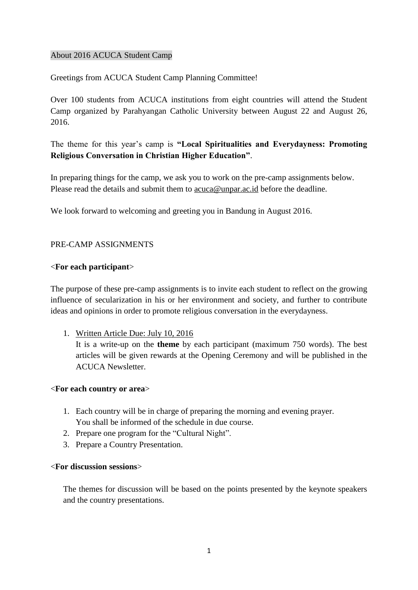### About 2016 ACUCA Student Camp

Greetings from ACUCA Student Camp Planning Committee!

Over 100 students from ACUCA institutions from eight countries will attend the Student Camp organized by Parahyangan Catholic University between August 22 and August 26, 2016.

# The theme for this year"s camp is **"Local Spiritualities and Everydayness: Promoting Religious Conversation in Christian Higher Education"**.

In preparing things for the camp, we ask you to work on the pre-camp assignments below. Please read the details and submit them to  $\frac{\arccos{m}{m}}{\arccos{m}{m}}$  before the deadline.

We look forward to welcoming and greeting you in Bandung in August 2016.

# PRE-CAMP ASSIGNMENTS

# <**For each participant**>

The purpose of these pre-camp assignments is to invite each student to reflect on the growing influence of secularization in his or her environment and society, and further to contribute ideas and opinions in order to promote religious conversation in the everydayness.

1. Written Article Due: July 10, 2016

It is a write-up on the **theme** by each participant (maximum 750 words). The best articles will be given rewards at the Opening Ceremony and will be published in the ACUCA Newsletter.

### <**For each country or area**>

- 1. Each country will be in charge of preparing the morning and evening prayer. You shall be informed of the schedule in due course.
- 2. Prepare one program for the "Cultural Night".
- 3. Prepare a Country Presentation.

### <**For discussion sessions**>

The themes for discussion will be based on the points presented by the keynote speakers and the country presentations.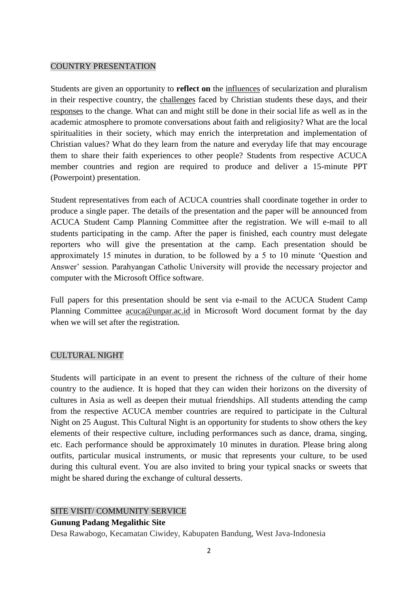### COUNTRY PRESENTATION

Students are given an opportunity to **reflect on** the influences of secularization and pluralism in their respective country, the challenges faced by Christian students these days, and their responses to the change. What can and might still be done in their social life as well as in the academic atmosphere to promote conversations about faith and religiosity? What are the local spiritualities in their society, which may enrich the interpretation and implementation of Christian values? What do they learn from the nature and everyday life that may encourage them to share their faith experiences to other people? Students from respective ACUCA member countries and region are required to produce and deliver a 15-minute PPT (Powerpoint) presentation.

Student representatives from each of ACUCA countries shall coordinate together in order to produce a single paper. The details of the presentation and the paper will be announced from ACUCA Student Camp Planning Committee after the registration. We will e-mail to all students participating in the camp. After the paper is finished, each country must delegate reporters who will give the presentation at the camp. Each presentation should be approximately 15 minutes in duration, to be followed by a 5 to 10 minute "Question and Answer" session. Parahyangan Catholic University will provide the necessary projector and computer with the Microsoft Office software.

Full papers for this presentation should be sent via e-mail to the ACUCA Student Camp Planning Committee acuca@unpar.ac.id in Microsoft Word document format by the day when we will set after the registration.

### CULTURAL NIGHT

Students will participate in an event to present the richness of the culture of their home country to the audience. It is hoped that they can widen their horizons on the diversity of cultures in Asia as well as deepen their mutual friendships. All students attending the camp from the respective ACUCA member countries are required to participate in the Cultural Night on 25 August. This Cultural Night is an opportunity for students to show others the key elements of their respective culture, including performances such as dance, drama, singing, etc. Each performance should be approximately 10 minutes in duration. Please bring along outfits, particular musical instruments, or music that represents your culture, to be used during this cultural event. You are also invited to bring your typical snacks or sweets that might be shared during the exchange of cultural desserts.

### SITE VISIT/ COMMUNITY SERVICE

### **Gunung Padang Megalithic Site**

Desa Rawabogo, Kecamatan Ciwidey, Kabupaten Bandung, West Java-Indonesia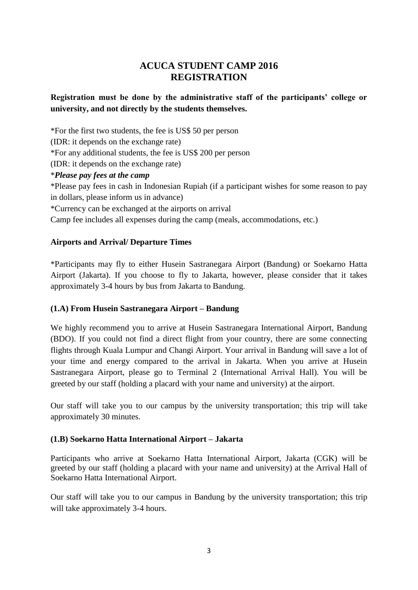# **ACUCA STUDENT CAMP 2016 REGISTRATION**

# **Registration must be done by the administrative staff of the participants' college or university, and not directly by the students themselves.**

\*For the first two students, the fee is US\$ 50 per person (IDR: it depends on the exchange rate) \*For any additional students, the fee is US\$ 200 per person (IDR: it depends on the exchange rate) \**Please pay fees at the camp* \*Please pay fees in cash in Indonesian Rupiah (if a participant wishes for some reason to pay in dollars, please inform us in advance) \*Currency can be exchanged at the airports on arrival

Camp fee includes all expenses during the camp (meals, accommodations, etc.)

# **Airports and Arrival/ Departure Times**

\*Participants may fly to either Husein Sastranegara Airport (Bandung) or Soekarno Hatta Airport (Jakarta). If you choose to fly to Jakarta, however, please consider that it takes approximately 3-4 hours by bus from Jakarta to Bandung.

# **(1.A) From Husein Sastranegara Airport – Bandung**

We highly recommend you to arrive at Husein Sastranegara International Airport, Bandung (BDO). If you could not find a direct flight from your country, there are some connecting flights through Kuala Lumpur and Changi Airport. Your arrival in Bandung will save a lot of your time and energy compared to the arrival in Jakarta. When you arrive at Husein Sastranegara Airport, please go to Terminal 2 (International Arrival Hall). You will be greeted by our staff (holding a placard with your name and university) at the airport.

Our staff will take you to our campus by the university transportation; this trip will take approximately 30 minutes.

# **(1.B) Soekarno Hatta International Airport – Jakarta**

Participants who arrive at Soekarno Hatta International Airport, Jakarta (CGK) will be greeted by our staff (holding a placard with your name and university) at the Arrival Hall of Soekarno Hatta International Airport.

Our staff will take you to our campus in Bandung by the university transportation; this trip will take approximately 3-4 hours.